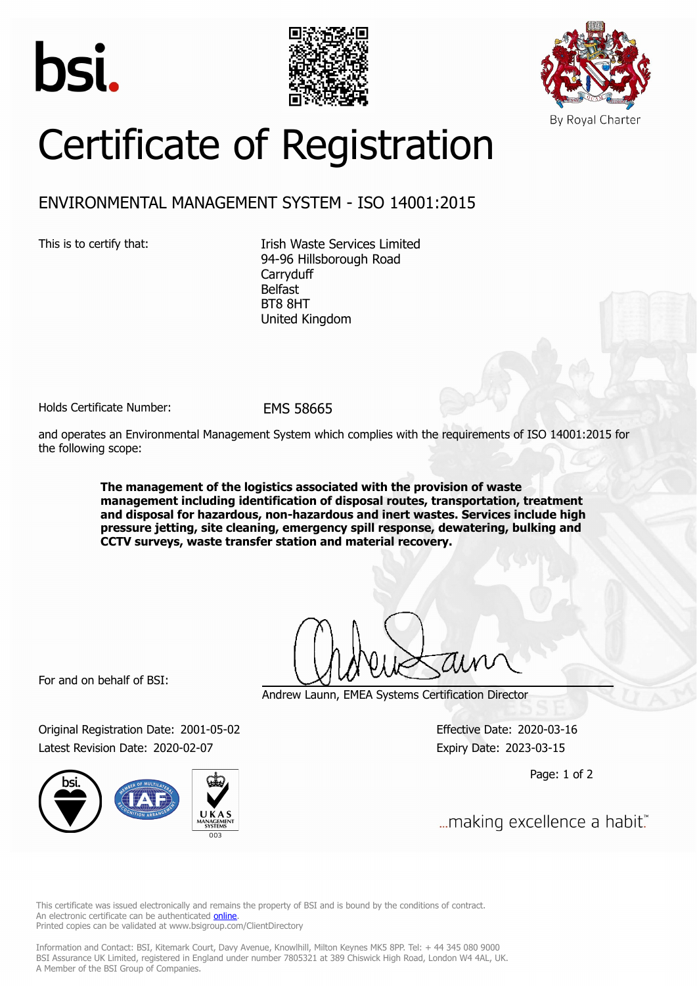





## Certificate of Registration

## ENVIRONMENTAL MANAGEMENT SYSTEM - ISO 14001:2015

This is to certify that: Itish Waste Services Limited 94-96 Hillsborough Road **Carryduff** Belfast BT8 8HT United Kingdom

Holds Certificate Number: EMS 58665

and operates an Environmental Management System which complies with the requirements of ISO 14001:2015 for the following scope:

> **The management of the logistics associated with the provision of waste management including identification of disposal routes, transportation, treatment and disposal for hazardous, non-hazardous and inert wastes. Services include high pressure jetting, site cleaning, emergency spill response, dewatering, bulking and CCTV surveys, waste transfer station and material recovery.**

For and on behalf of BSI:

Andrew Launn, EMEA Systems Certification Director

Original Registration Date: 2001-05-02 Effective Date: 2020-03-16 Latest Revision Date: 2020-02-07 **Expiry Date: 2023-03-15** 

Page: 1 of 2

... making excellence a habit."

This certificate was issued electronically and remains the property of BSI and is bound by the conditions of contract. An electronic certificate can be authenticated **[online](https://pgplus.bsigroup.com/CertificateValidation/CertificateValidator.aspx?CertificateNumber=EMS+58665&ReIssueDate=07%2f02%2f2020&Template=uk)**. Printed copies can be validated at www.bsigroup.com/ClientDirectory

Information and Contact: BSI, Kitemark Court, Davy Avenue, Knowlhill, Milton Keynes MK5 8PP. Tel: + 44 345 080 9000 BSI Assurance UK Limited, registered in England under number 7805321 at 389 Chiswick High Road, London W4 4AL, UK. A Member of the BSI Group of Companies.